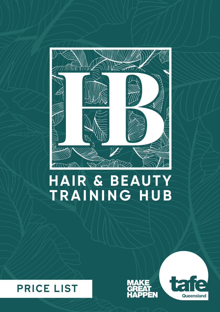

# HAIR & BEAUTY TRAINING HUB





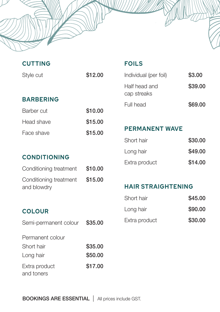| <b>CUTTING</b>              |         | <b>FOILS</b>                 |         |
|-----------------------------|---------|------------------------------|---------|
| Style cut                   | \$12.00 | Individual (per foil)        | \$3.00  |
|                             |         | Half head and<br>cap streaks | \$39.00 |
| <b>BARBERING</b>            |         | Full head                    | \$69.00 |
| Barber cut                  | \$10.00 |                              |         |
| Head shave                  | \$15.00 |                              |         |
| Face shave                  | \$15.00 | <b>PERMANENT WAVE</b>        |         |
|                             |         | Short hair                   | \$30.00 |
|                             |         | Long hair                    | \$49.00 |
| <b>CONDITIONING</b>         |         | Extra product                | \$14.00 |
| Conditioning treatment      | \$10.00 |                              |         |
| Conditioning treatment      | \$15.00 |                              |         |
| and blowdry                 |         | <b>HAIR STRAIGHTENING</b>    |         |
|                             |         | Short hair                   | \$45.00 |
| <b>COLOUR</b>               |         | Long hair                    | \$90.00 |
| Semi-permanent colour       | \$35.00 | Extra product                | \$30.00 |
| Permanent colour            |         |                              |         |
| Short hair                  | \$35.00 |                              |         |
| Long hair                   | \$50.00 |                              |         |
| Extra product<br>and toners | \$17.00 |                              |         |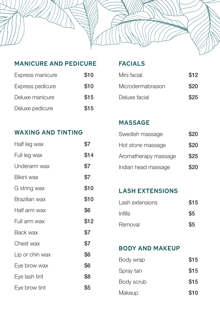

### **MANICURE AND PEDICURE FACIALS**

| Express manicure | \$10 |
|------------------|------|
| Express pedicure | \$10 |
| Deluxe manicure  | \$15 |
| Deluxe pedicure  | \$15 |

| Mini facial       | \$12 |
|-------------------|------|
| Microdermabrasion | \$20 |
| Deluxe facial     | \$25 |

# **WAXING AND TINTING**

| Half leg wax    | \$7  |
|-----------------|------|
| Full leg wax    | \$14 |
| Underarm wax    | \$7  |
| Bikini wax      | \$7  |
| G string wax    | \$10 |
| Brazilian wax   | \$10 |
| Half arm wax    | \$6  |
| Full arm wax    | \$12 |
| Back wax        | \$7  |
| Chest wax       | \$7  |
| Lip or chin wax | \$6  |
| Eye brow wax    | \$6  |
| Eye lash tint   | \$8  |
| Eye brow tint   | \$5  |

# **MASSAGE**

| Swedish massage      | \$20 |
|----------------------|------|
| Hot stone massage    | \$20 |
| Aromatherapy massage | \$25 |
| Indian head massage  | \$20 |

# **LASH EXTENSIONS**

| Lash extensions | \$15 |
|-----------------|------|
| Infills         | \$5  |
| Removal         | \$5  |

#### **BODY AND MAKEUP**

| Body wrap  | \$15 |
|------------|------|
| Spray tan  | \$15 |
| Body scrub | \$15 |
| Makeup     | \$10 |